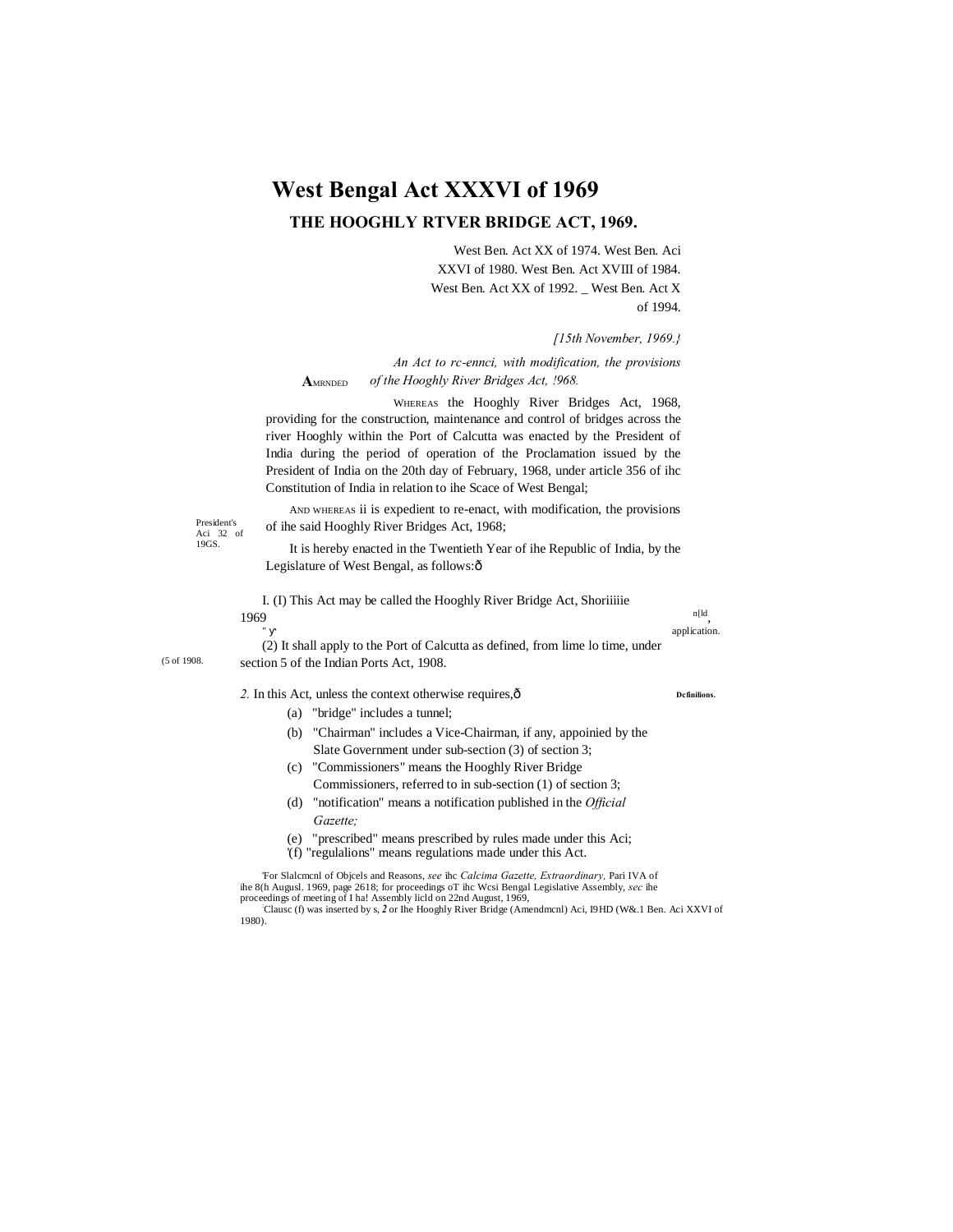# **West Bengal Act XXXVI of 1969**

# **THE HOOGHLY RTVER BRIDGE ACT, 1969.**

West Ben. Act XX of 1974. West Ben. Aci XXVI of 1980. West Ben. Act XVIII of 1984. West Ben. Act XX of 1992. \_ West Ben. Act X of 1994.

#### *[15th November, 1969.}*

**A**MRNDED *An Act to rc-ennci, with modification, the provisions of the Hooghly River Bridges Act, !968.*

WHEREAS the Hooghly River Bridges Act, 1968, providing for the construction, maintenance and control of bridges across the river Hooghly within the Port of Calcutta was enacted by the President of India during the period of operation of the Proclamation issued by the President of India on the 20th day of February, 1968, under article 356 of ihc Constitution of India in relation to ihe Scace of West Bengal;

President's Aci 32 of 19GS.

(5 of 1908.

AND WHEREAS ii is expedient to re-enact, with modification, the provisions of ihe said Hooghly River Bridges Act, 1968;

It is hereby enacted in the Twentieth Year of ihe Republic of India, by the Legislature of West Bengal, as follows: ô

I. (I) This Act may be called the Hooghly River Bridge Act, Shoriiiiie 1969  $n[ld]$ , application.

(2) It shall apply to the Port of Calcutta as defined, from lime lo time, under section 5 of the Indian Ports Act, 1908.

#### *2.* In this Act, unless the context otherwise requires,—

- (a) "bridge" includes a tunnel;
- (b) "Chairman" includes a Vice-Chairman, if any, appoinied by the Slate Government under sub-section (3) of section 3;
- (c) "Commissioners" means the Hooghly River Bridge Commissioners, referred to in sub-section (1) of section 3;
- (d) "notification" means a notification published in the *Official Gazette;*
- (e) "prescribed" means prescribed by rules made under this Aci;
- '(f) "regulalions" means regulations made under this Act.

'For Slalcmcnl of Objcels and Reasons, *see* ihc *Calcima Gazette, Extraordinary,* Pari IVA of ihe 8(h Augusl. 1969, page 2618; for proceedings oT ihc Wcsi Bengal Legislative Assembly, *sec* ihe proceedings of meeting of I ha! Assembly licld on 22nd August, 1969,<br>Clausc (f) was inserted by s, 2 or Ihe Hooghly River Bridge (Amendmcnl) Aci, I9HD (W&.1 Ben. Aci XXVI of

1980).

#### **Dcfinilions.**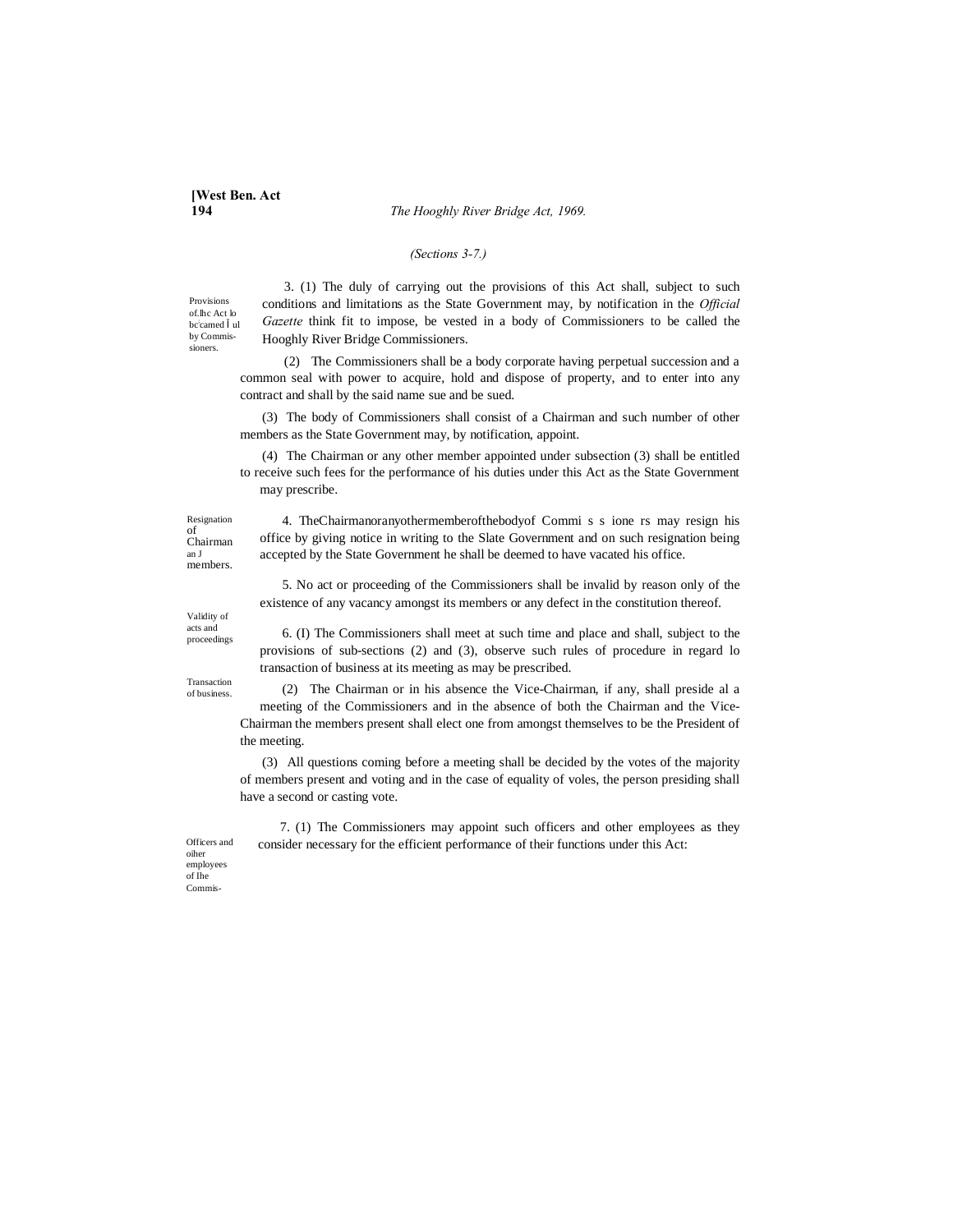**194** *The Hooghly River Bridge Act, 1969.*

## *(Sections 3-7.)*

Provisions of.lhc Act lo bc; camed ul by Commissioners.

3. (1) The duly of carrying out the provisions of this Act shall, subject to such conditions and limitations as the State Government may, by notification in the *Official Gazette* think fit to impose, be vested in a body of Commissioners to be called the Hooghly River Bridge Commissioners.

(2) The Commissioners shall be a body corporate having perpetual succession and a common seal with power to acquire, hold and dispose of property, and to enter into any contract and shall by the said name sue and be sued.

(3) The body of Commissioners shall consist of a Chairman and such number of other members as the State Government may, by notification, appoint.

(4) The Chairman or any other member appointed under subsection (3) shall be entitled to receive such fees for the performance of his duties under this Act as the State Government may prescribe.

Resignation of Chairman an J members.

4. TheChairmanoranyothermemberofthebodyof Commi s s ione rs may resign his office by giving notice in writing to the Slate Government and on such resignation being accepted by the State Government he shall be deemed to have vacated his office.

5. No act or proceeding of the Commissioners shall be invalid by reason only of the existence of any vacancy amongst its members or any defect in the constitution thereof.

Validity of acts and proceedings

Transaction of business.

6. (I) The Commissioners shall meet at such time and place and shall, subject to the provisions of sub-sections (2) and (3), observe such rules of procedure in regard lo transaction of business at its meeting as may be prescribed.

(2) The Chairman or in his absence the Vice-Chairman, if any, shall preside al a meeting of the Commissioners and in the absence of both the Chairman and the Vice-Chairman the members present shall elect one from amongst themselves to be the President of the meeting.

(3) All questions coming before a meeting shall be decided by the votes of the majority of members present and voting and in the case of equality of voles, the person presiding shall have a second or casting vote.

7. (1) The Commissioners may appoint such officers and other employees as they consider necessary for the efficient performance of their functions under this Act:

Officers and oiher employees of Ihe Commis-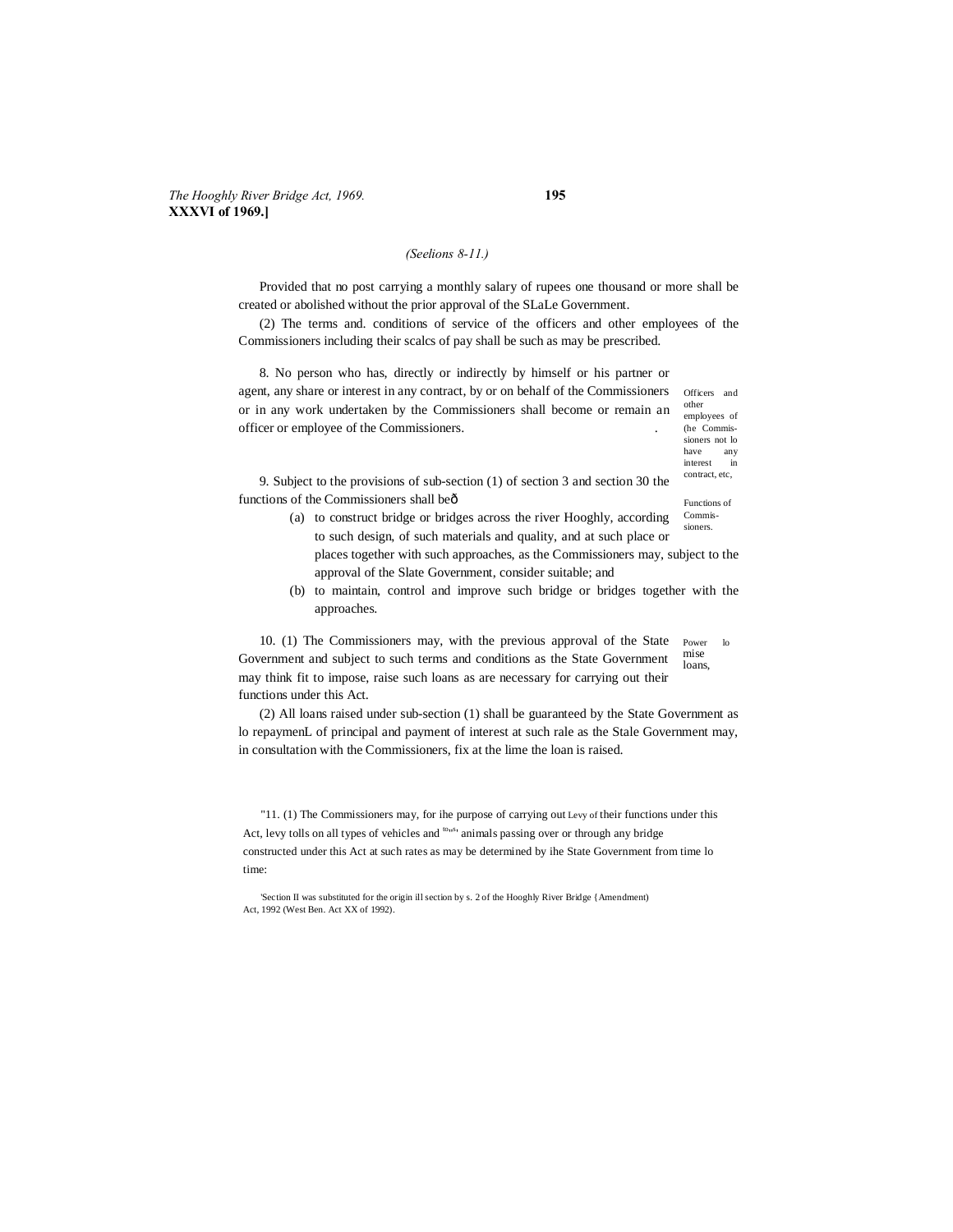## *The Hooghly River Bridge Act, 1969.* **195 XXXVI of 1969.]**

#### *(Seelions 8-11.)*

Provided that no post carrying a monthly salary of rupees one thousand or more shall be created or abolished without the prior approval of the SLaLe Government.

(2) The terms and. conditions of service of the officers and other employees of the Commissioners including their scalcs of pay shall be such as may be prescribed.

Officers and other 8. No person who has, directly or indirectly by himself or his partner or agent, any share or interest in any contract, by or on behalf of the Commissioners or in any work undertaken by the Commissioners shall become or remain an officer or employee of the Commissioners. .

employees of (he Commissioners not lo<br>have any have any interest in contract, etc,

Functions of 9. Subject to the provisions of sub-section (1) of section 3 and section 30 the functions of the Commissioners shall be—

- Commissioners. (a) to construct bridge or bridges across the river Hooghly, according to such design, of such materials and quality, and at such place or places together with such approaches, as the Commissioners may, subject to the approval of the Slate Government, consider suitable; and
- (b) to maintain, control and improve such bridge or bridges together with the approaches.

Power lo mise loans, 10. (1) The Commissioners may, with the previous approval of the State Government and subject to such terms and conditions as the State Government may think fit to impose, raise such loans as are necessary for carrying out their functions under this Act.

(2) All loans raised under sub-section (1) shall be guaranteed by the State Government as lo repaymenL of principal and payment of interest at such rale as the Stale Government may, in consultation with the Commissioners, fix at the lime the loan is raised.

"11. (1) The Commissioners may, for ihe purpose of carrying out Levy of their functions under this Act, levy tolls on all types of vehicles and <sup>tons</sup> animals passing over or through any bridge constructed under this Act at such rates as may be determined by ihe State Government from time lo time:

'Section II was substituted for the origin ill section by s. 2 of the Hooghly River Bridge {Amendment) Act, 1992 (West Ben. Act XX of 1992).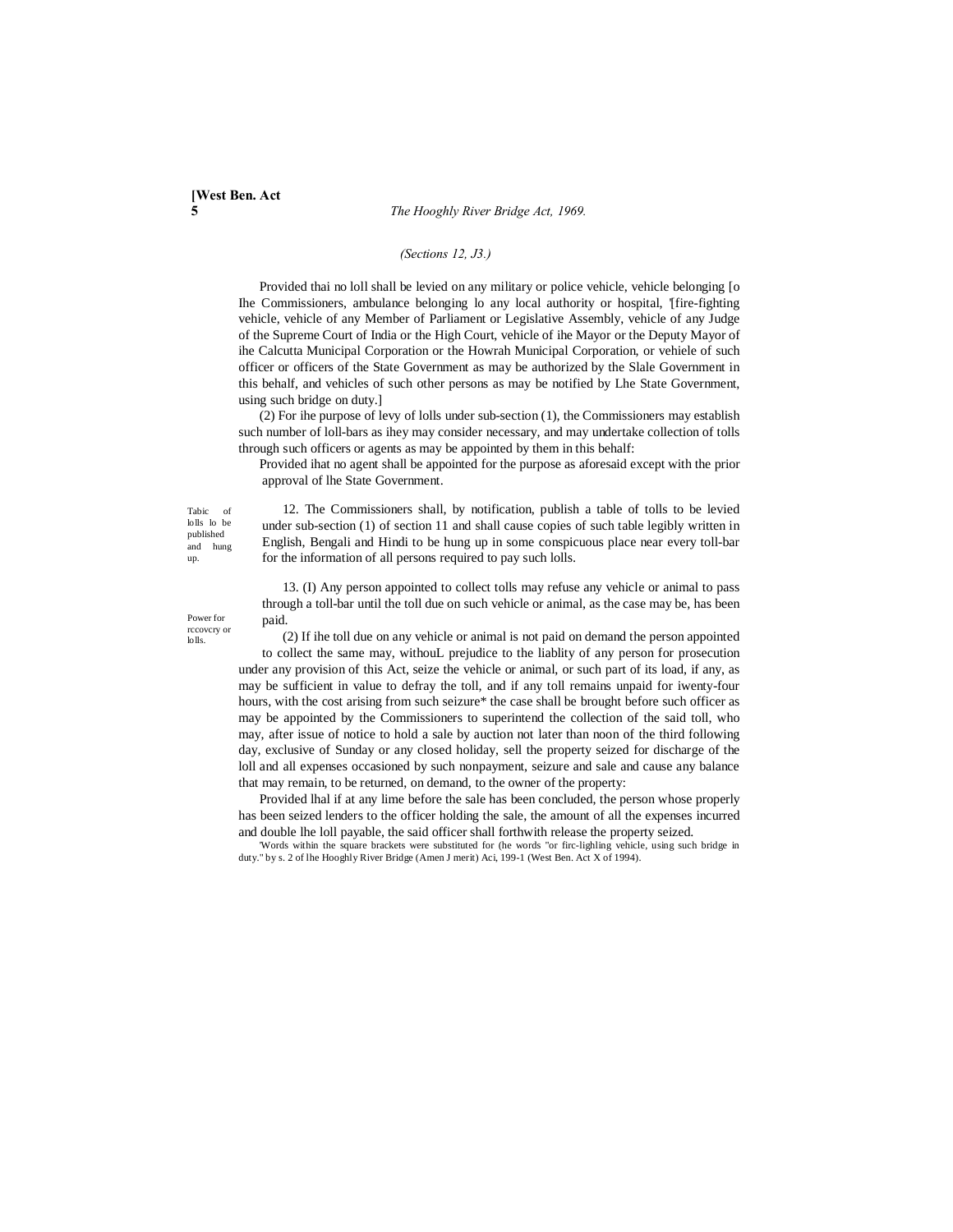**5** *The Hooghly River Bridge Act, 1969.*

## *(Sections 12, J3.)*

Provided thai no loll shall be levied on any military or police vehicle, vehicle belonging [o Ihe Commissioners, ambulance belonging lo any local authority or hospital, '[fire-fighting vehicle, vehicle of any Member of Parliament or Legislative Assembly, vehicle of any Judge of the Supreme Court of India or the High Court, vehicle of ihe Mayor or the Deputy Mayor of ihe Calcutta Municipal Corporation or the Howrah Municipal Corporation, or vehiele of such officer or officers of the State Government as may be authorized by the Slale Government in this behalf, and vehicles of such other persons as may be notified by Lhe State Government, using such bridge on duty.]

(2) For ihe purpose of levy of lolls under sub-section (1), the Commissioners may establish such number of loll-bars as ihey may consider necessary, and may undertake collection of tolls through such officers or agents as may be appointed by them in this behalf:

Provided ihat no agent shall be appointed for the purpose as aforesaid except with the prior approval of lhe State Government.

Tabic of lolls lo be published and hung up.

Power for rccovcry or  $ln$ 

12. The Commissioners shall, by notification, publish a table of tolls to be levied under sub-section (1) of section 11 and shall cause copies of such table legibly written in English, Bengali and Hindi to be hung up in some conspicuous place near every toll-bar for the information of all persons required to pay such lolls.

13. (I) Any person appointed to collect tolls may refuse any vehicle or animal to pass through a toll-bar until the toll due on such vehicle or animal, as the case may be, has been paid.

(2) If ihe toll due on any vehicle or animal is not paid on demand the person appointed to collect the same may, withouL prejudice to the liablity of any person for prosecution under any provision of this Act, seize the vehicle or animal, or such part of its load, if any, as may be sufficient in value to defray the toll, and if any toll remains unpaid for iwenty-four hours, with the cost arising from such seizure\* the case shall be brought before such officer as may be appointed by the Commissioners to superintend the collection of the said toll, who may, after issue of notice to hold a sale by auction not later than noon of the third following day, exclusive of Sunday or any closed holiday, sell the property seized for discharge of the loll and all expenses occasioned by such nonpayment, seizure and sale and cause any balance that may remain, to be returned, on demand, to the owner of the property:

Provided lhal if at any lime before the sale has been concluded, the person whose properly has been seized lenders to the officer holding the sale, the amount of all the expenses incurred and double lhe loll payable, the said officer shall forthwith release the property seized.

'Words within the square brackets were substituted for (he words "or firc-lighling vehicle, using such bridge in duty." by s. 2 of lhe Hooghly River Bridge (Amen J merit) Aci, 199-1 (West Ben. Act X of 1994).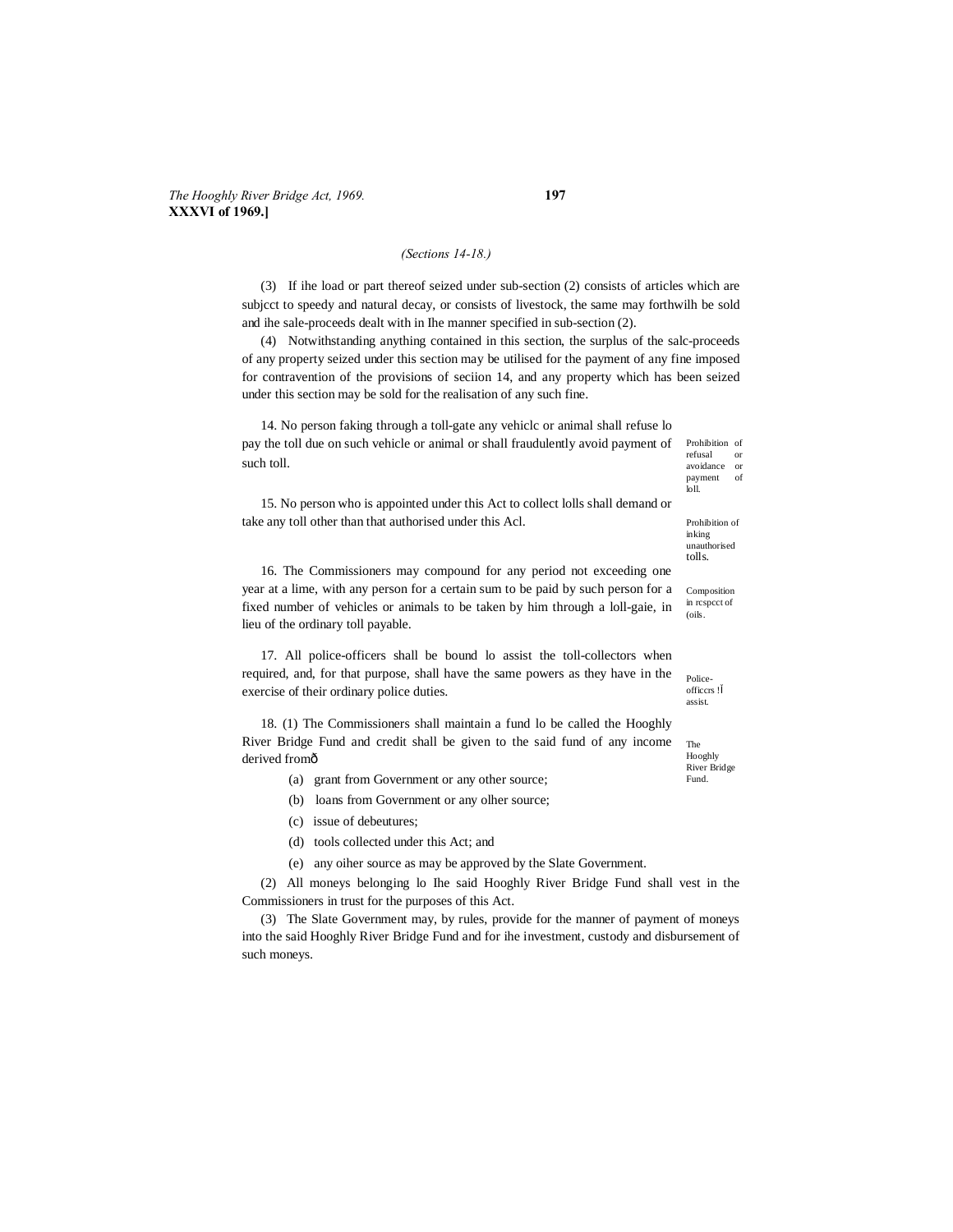## *(Sections 14-18.)*

(3) If ihe load or part thereof seized under sub-section (2) consists of articles which are subjcct to speedy and natural decay, or consists of livestock, the same may forthwilh be sold and ihe sale-proceeds dealt with in Ihe manner specified in sub-section (2).

(4) Notwithstanding anything contained in this section, the surplus of the salc-proceeds of any property seized under this section may be utilised for the payment of any fine imposed for contravention of the provisions of seciion 14, and any property which has been seized under this section may be sold for the realisation of any such fine.

14. No person faking through a toll-gate any vehiclc or animal shall refuse lo pay the toll due on such vehicle or animal or shall fraudulently avoid payment of such toll.

15. No person who is appointed under this Act to collect lolls shall demand or take any toll other than that authorised under this Acl.

16. The Commissioners may compound for any period not exceeding one year at a lime, with any person for a certain sum to be paid by such person for a fixed number of vehicles or animals to be taken by him through a loll-gaie, in lieu of the ordinary toll payable.

17. All police-officers shall be bound lo assist the toll-collectors when required, and, for that purpose, shall have the same powers as they have in the exercise of their ordinary police duties.

18. (1) The Commissioners shall maintain a fund lo be called the Hooghly River Bridge Fund and credit shall be given to the said fund of any income derived fromô

- (a) grant from Government or any other source;
- (b) loans from Government or any olher source;
- (c) issue of debeutures;
- (d) tools collected under this Act; and
- (e) any oiher source as may be approved by the Slate Government.

(2) All moneys belonging lo Ihe said Hooghly River Bridge Fund shall vest in the Commissioners in trust for the purposes of this Act.

(3) The Slate Government may, by rules, provide for the manner of payment of moneys into the said Hooghly River Bridge Fund and for ihe investment, custody and disbursement of such moneys.

Prohibition of refusal or avoidance or payment of loll.

Prohibition of inking unauthorised tolls.

Composition in rcspcct of (oils.

Policeofficcrs ! assist.

The Hooghly River Bridge

Fund.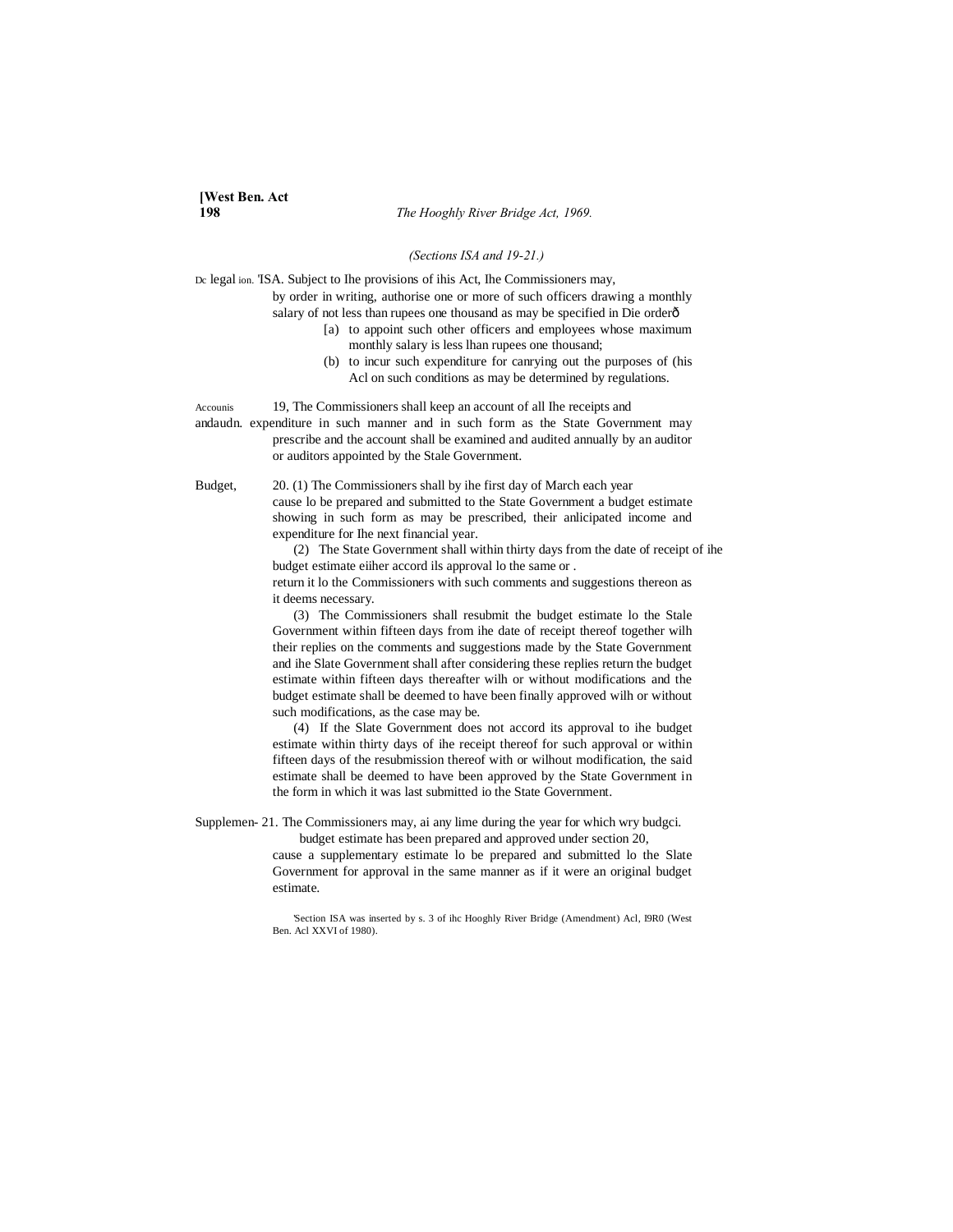**198** *The Hooghly River Bridge Act, 1969.*

#### *(Sections ISA and 19-21.)*

Dc legal ion. 'ISA. Subject to Ihe provisions of ihis Act, Ihe Commissioners may,

by order in writing, authorise one or more of such officers drawing a monthly salary of not less than rupees one thousand as may be specified in Die orderô

- [a) to appoint such other officers and employees whose maximum
	- monthly salary is less lhan rupees one thousand; (b) to incur such expenditure for canrying out the purposes of (his
	- Acl on such conditions as may be determined by regulations.

Accounis 19, The Commissioners shall keep an account of all Ihe receipts and andaudn. expenditure in such manner and in such form as the State Government may prescribe and the account shall be examined and audited annually by an auditor or auditors appointed by the Stale Government.

Budget, 20. (1) The Commissioners shall by ihe first day of March each year cause lo be prepared and submitted to the State Government a budget estimate showing in such form as may be prescribed, their anlicipated income and expenditure for Ihe next financial year.

> (2) The State Government shall within thirty days from the date of receipt of ihe budget estimate eiiher accord ils approval lo the same or . return it lo the Commissioners with such comments and suggestions thereon as

it deems necessary.

(3) The Commissioners shall resubmit the budget estimate lo the Stale Government within fifteen days from ihe date of receipt thereof together wilh their replies on the comments and suggestions made by the State Government and ihe Slate Government shall after considering these replies return the budget estimate within fifteen days thereafter wilh or without modifications and the budget estimate shall be deemed to have been finally approved wilh or without such modifications, as the case may be.

(4) If the Slate Government does not accord its approval to ihe budget estimate within thirty days of ihe receipt thereof for such approval or within fifteen days of the resubmission thereof with or wilhout modification, the said estimate shall be deemed to have been approved by the State Government in the form in which it was last submitted io the State Government.

Supplemen- 21. The Commissioners may, ai any lime during the year for which wry budgci. budget estimate has been prepared and approved under section 20,

cause a supplementary estimate lo be prepared and submitted lo the Slate Government for approval in the same manner as if it were an original budget estimate.

'Section ISA was inserted by s. 3 of ihc Hooghly River Bridge (Amendment) Acl, I9R0 (West Ben. Acl XXVI of 1980).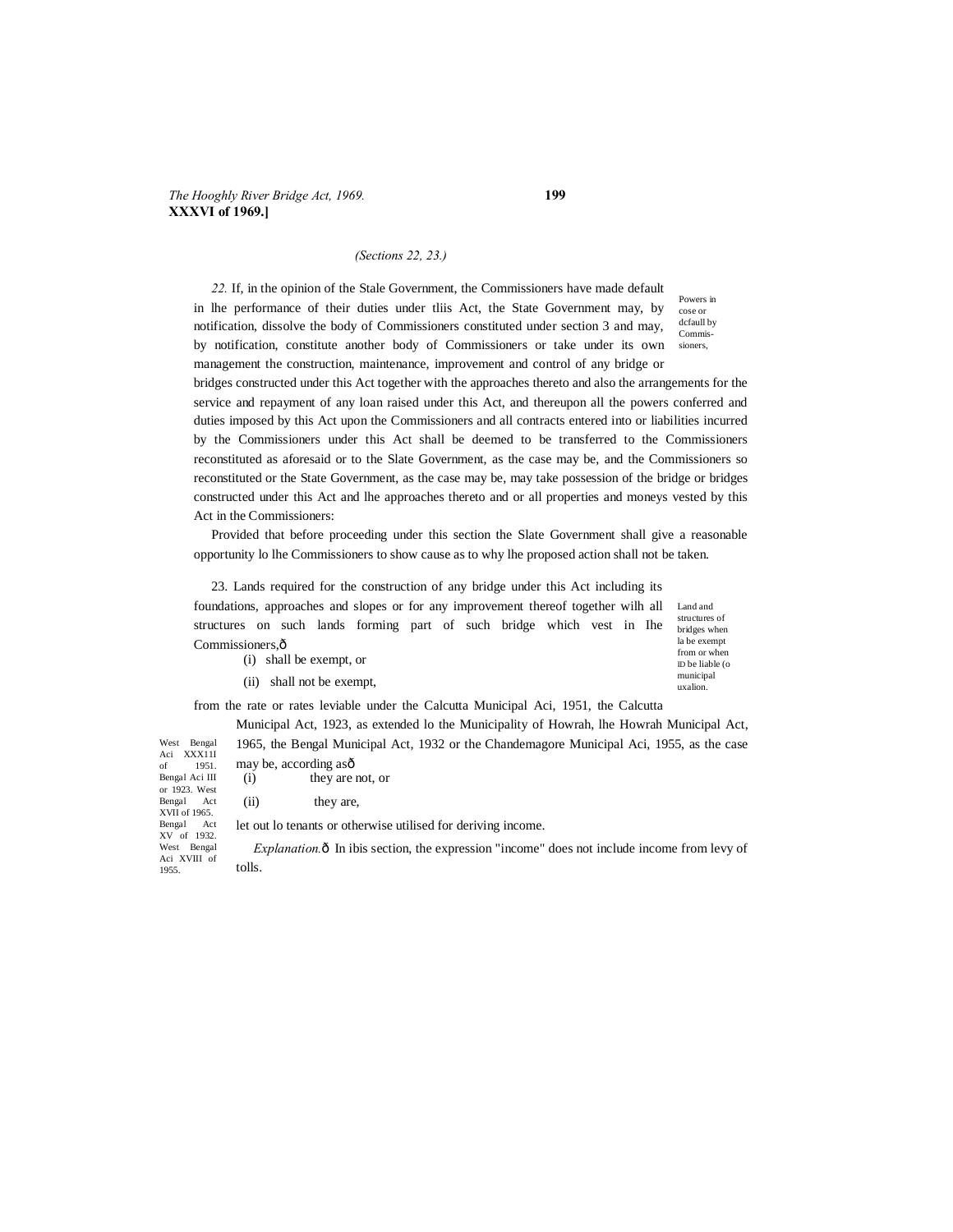#### *(Sections 22, 23.)*

*22.* If, in the opinion of the Stale Government, the Commissioners have made default in lhe performance of their duties under tliis Act, the State Government may, by notification, dissolve the body of Commissioners constituted under section 3 and may, by notification, constitute another body of Commissioners or take under its own management the construction, maintenance, improvement and control of any bridge or

Powers in cose or dcfaull by Commissioners,

municipal uxalion.

bridges constructed under this Act together with the approaches thereto and also the arrangements for the service and repayment of any loan raised under this Act, and thereupon all the powers conferred and duties imposed by this Act upon the Commissioners and all contracts entered into or liabilities incurred by the Commissioners under this Act shall be deemed to be transferred to the Commissioners reconstituted as aforesaid or to the Slate Government, as the case may be, and the Commissioners so reconstituted or the State Government, as the case may be, may take possession of the bridge or bridges constructed under this Act and lhe approaches thereto and or all properties and moneys vested by this Act in the Commissioners:

Provided that before proceeding under this section the Slate Government shall give a reasonable opportunity lo lhe Commissioners to show cause as to why lhe proposed action shall not be taken.

Land and 23. Lands required for the construction of any bridge under this Act including its foundations, approaches and slopes or for any improvement thereof together wilh all

structures of bridges when la be exempt from or when ID be liable (o structures on such lands forming part of such bridge which vest in Ihe Commissioners, ô (i) shall be exempt, or

(ii) shall not be exempt,

from the rate or rates leviable under the Calcutta Municipal Aci, 1951, the Calcutta

Municipal Act, 1923, as extended lo the Municipality of Howrah, lhe Howrah Municipal Act, 1965, the Bengal Municipal Act, 1932 or the Chandemagore Municipal Aci, 1955, as the case

West Bengal Aci XXX11I of 1951. Bengal Aci III or 1923. West Bengal Act XVII of 1965. Bengal Act XV of 1932. West Bengal Aci XVIII of 1955. may be, according asô (i) they are not, or (ii) they are, let out lo tenants or otherwise utilised for deriving income. *Explanation.*  $\hat{o}$  In ibis section, the expression "income" does not include income from levy of tolls.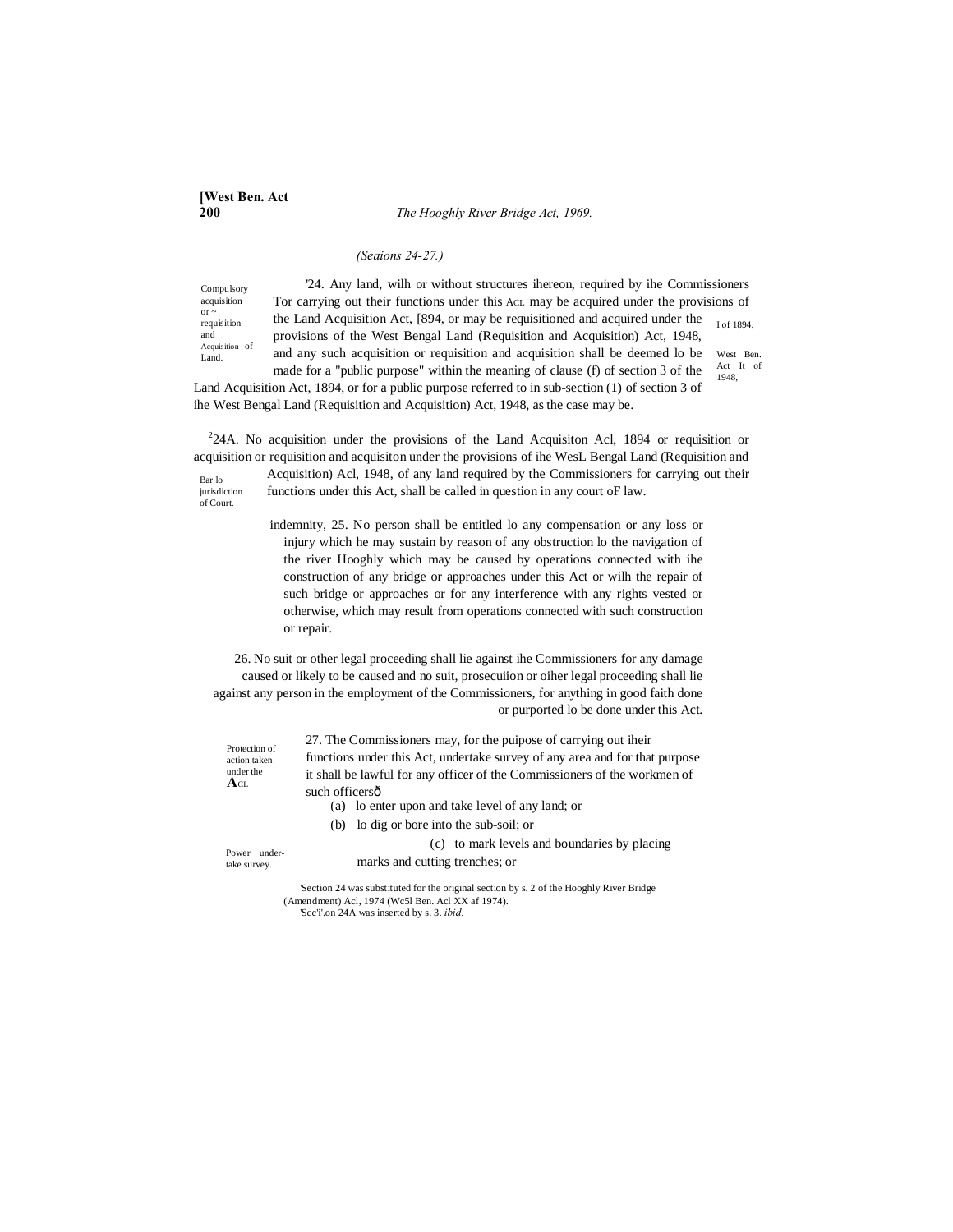**200** *The Hooghly River Bridge Act, 1969.*

#### *(Seaions 24-27.)*

Compulsory acquisition or ~ requisition and Acquisition of Land.

I of 1894. Act It of '24. Any land, wilh or without structures ihereon, required by ihe Commissioners Tor carrying out their functions under this ACL may be acquired under the provisions of the Land Acquisition Act, [894, or may be requisitioned and acquired under the provisions of the West Bengal Land (Requisition and Acquisition) Act, 1948, and any such acquisition or requisition and acquisition shall be deemed lo be

West Ben.

1948,

made for a "public purpose" within the meaning of clause (f) of section 3 of the Land Acquisition Act, 1894, or for a public purpose referred to in sub-section (1) of section 3 of ihe West Bengal Land (Requisition and Acquisition) Act, 1948, as the case may be.

Bar lo  $224A$ . No acquisition under the provisions of the Land Acquisition Acl, 1894 or requisition or acquisition or requisition and acquisiton under the provisions of ihe WesL Bengal Land (Requisition and Acquisition) Acl, 1948, of any land required by the Commissioners for carrying out their

jurisdiction of Court.

functions under this Act, shall be called in question in any court oF law.

indemnity, 25. No person shall be entitled lo any compensation or any loss or injury which he may sustain by reason of any obstruction lo the navigation of the river Hooghly which may be caused by operations connected with ihe construction of any bridge or approaches under this Act or wilh the repair of such bridge or approaches or for any interference with any rights vested or otherwise, which may result from operations connected with such construction or repair.

26. No suit or other legal proceeding shall lie against ihe Commissioners for any damage caused or likely to be caused and no suit, prosecuiion or oiher legal proceeding shall lie against any person in the employment of the Commissioners, for anything in good faith done or purported lo be done under this Act.

> 27. The Commissioners may, for the puipose of carrying out iheir functions under this Act, undertake survey of any area and for that purpose it shall be lawful for any officer of the Commissioners of the workmen of such officersô

- (a) lo enter upon and take level of any land; or
- (b) lo dig or bore into the sub-soil; or

(c) to mark levels and boundaries by placing marks and cutting trenches; or

Power undertake survey.

Protection of action taken under the **A**CL

> 'Section 24 was substituted for the original section by s. 2 of the Hooghly River Bridge (Amendment) Acl, 1974 (Wc5l Ben. Acl XX af 1974).

'Scc'i'.on 24A was inserted by s. 3. *ibid.*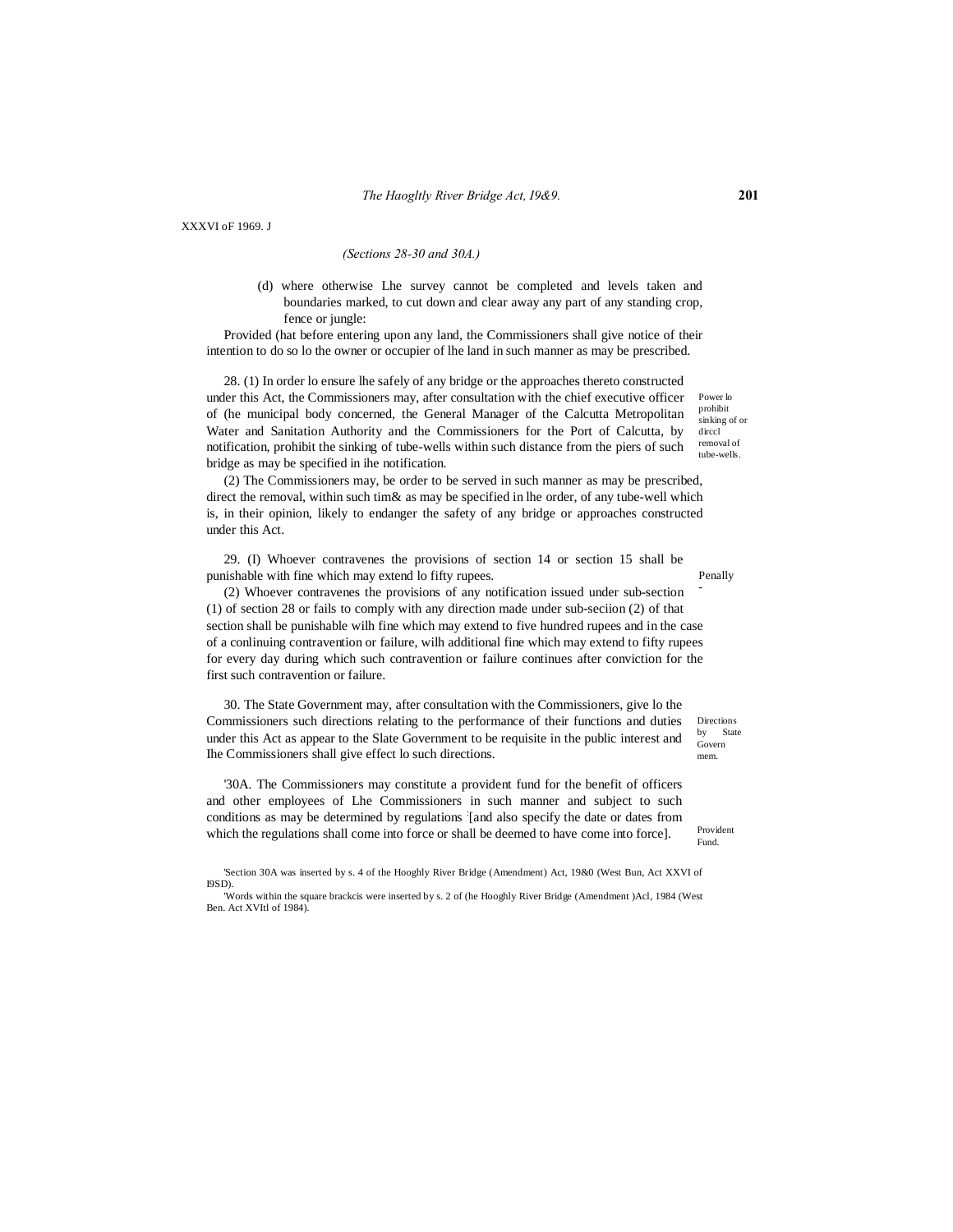XXXVI oF 1969. J

## *(Sections 28-30 and 30A.)*

(d) where otherwise Lhe survey cannot be completed and levels taken and boundaries marked, to cut down and clear away any part of any standing crop, fence or jungle:

Provided (hat before entering upon any land, the Commissioners shall give notice of their intention to do so lo the owner or occupier of lhe land in such manner as may be prescribed.

28. (1) In order lo ensure lhe safely of any bridge or the approaches thereto constructed under this Act, the Commissioners may, after consultation with the chief executive officer of (he municipal body concerned, the General Manager of the Calcutta Metropolitan Water and Sanitation Authority and the Commissioners for the Port of Calcutta, by notification, prohibit the sinking of tube-wells within such distance from the piers of such bridge as may be specified in ihe notification.

(2) The Commissioners may, be order to be served in such manner as may be prescribed, direct the removal, within such tim& as may be specified in lhe order, of any tube-well which is, in their opinion, likely to endanger the safety of any bridge or approaches constructed under this Act.

29. (I) Whoever contravenes the provisions of section 14 or section 15 shall be punishable with fine which may extend lo fifty rupees.

- (2) Whoever contravenes the provisions of any notification issued under sub-section (1) of section 28 or fails to comply with any direction made under sub-seciion (2) of that section shall be punishable wilh fine which may extend to five hundred rupees and in the case of a conlinuing contravention or failure, wilh additional fine which may extend to fifty rupees for every day during which such contravention or failure continues after conviction for the first such contravention or failure.

30. The State Government may, after consultation with the Commissioners, give lo the Commissioners such directions relating to the performance of their functions and duties under this Act as appear to the Slate Government to be requisite in the public interest and Ihe Commissioners shall give effect lo such directions.

'30A. The Commissioners may constitute a provident fund for the benefit of officers and other employees of Lhe Commissioners in such manner and subject to such conditions as may be determined by regulations : [and also specify the date or dates from which the regulations shall come into force or shall be deemed to have come into force].

Penally

Power lo prohibit sinking of or dirccl removal of tube-wells.

Directions by State Govern mem.

Provident Fund.

<sup>&#</sup>x27;Section 30A was inserted by s. 4 of the Hooghly River Bridge (Amendment) Act, 19&0 (West Bun, Act XXVI of I9SD).

<sup>&#</sup>x27;Words within the square brackcis were inserted by s. 2 of (he Hooghly River Bridge (Amendment )Acl, 1984 (West Ben. Act XVItl of 1984).